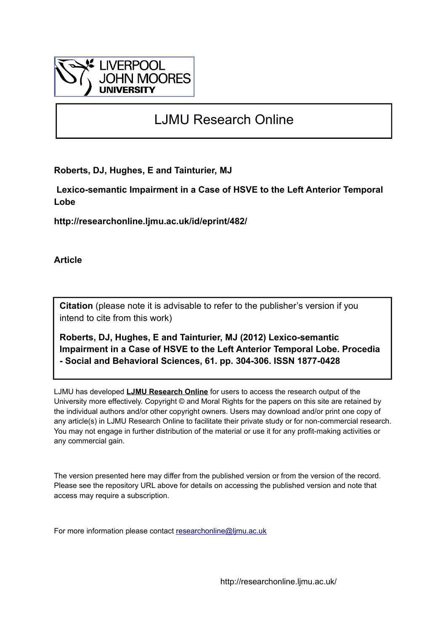

# LJMU Research Online

**Roberts, DJ, Hughes, E and Tainturier, MJ**

 **Lexico-semantic Impairment in a Case of HSVE to the Left Anterior Temporal Lobe**

**http://researchonline.ljmu.ac.uk/id/eprint/482/**

**Article**

**Citation** (please note it is advisable to refer to the publisher's version if you intend to cite from this work)

**Roberts, DJ, Hughes, E and Tainturier, MJ (2012) Lexico-semantic Impairment in a Case of HSVE to the Left Anterior Temporal Lobe. Procedia - Social and Behavioral Sciences, 61. pp. 304-306. ISSN 1877-0428** 

LJMU has developed **[LJMU Research Online](http://researchonline.ljmu.ac.uk/)** for users to access the research output of the University more effectively. Copyright © and Moral Rights for the papers on this site are retained by the individual authors and/or other copyright owners. Users may download and/or print one copy of any article(s) in LJMU Research Online to facilitate their private study or for non-commercial research. You may not engage in further distribution of the material or use it for any profit-making activities or any commercial gain.

The version presented here may differ from the published version or from the version of the record. Please see the repository URL above for details on accessing the published version and note that access may require a subscription.

For more information please contact [researchonline@ljmu.ac.uk](mailto:researchonline@ljmu.ac.uk)

http://researchonline.ljmu.ac.uk/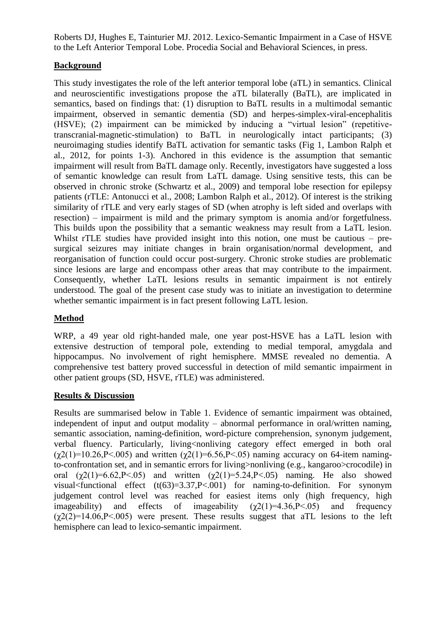Roberts DJ, Hughes E, Tainturier MJ. 2012. Lexico-Semantic Impairment in a Case of HSVE to the Left Anterior Temporal Lobe. Procedia Social and Behavioral Sciences, in press.

## **Background**

This study investigates the role of the left anterior temporal lobe (aTL) in semantics. Clinical and neuroscientific investigations propose the aTL bilaterally (BaTL), are implicated in semantics, based on findings that: (1) disruption to BaTL results in a multimodal semantic impairment, observed in semantic dementia (SD) and herpes-simplex-viral-encephalitis (HSVE); (2) impairment can be mimicked by inducing a "virtual lesion" (repetitivetranscranial-magnetic-stimulation) to BaTL in neurologically intact participants; (3) neuroimaging studies identify BaTL activation for semantic tasks (Fig 1, Lambon Ralph et al., 2012, for points 1-3). Anchored in this evidence is the assumption that semantic impairment will result from BaTL damage only. Recently, investigators have suggested a loss of semantic knowledge can result from LaTL damage. Using sensitive tests, this can be observed in chronic stroke (Schwartz et al., 2009) and temporal lobe resection for epilepsy patients (rTLE: Antonucci et al., 2008; Lambon Ralph et al., 2012). Of interest is the striking similarity of rTLE and very early stages of SD (when atrophy is left sided and overlaps with resection) – impairment is mild and the primary symptom is anomia and/or forgetfulness. This builds upon the possibility that a semantic weakness may result from a LaTL lesion. Whilst rTLE studies have provided insight into this notion, one must be cautious – presurgical seizures may initiate changes in brain organisation/normal development, and reorganisation of function could occur post-surgery. Chronic stroke studies are problematic since lesions are large and encompass other areas that may contribute to the impairment. Consequently, whether LaTL lesions results in semantic impairment is not entirely understood. The goal of the present case study was to initiate an investigation to determine whether semantic impairment is in fact present following LaTL lesion.

# **Method**

WRP, a 49 year old right-handed male, one year post-HSVE has a LaTL lesion with extensive destruction of temporal pole, extending to medial temporal, amygdala and hippocampus. No involvement of right hemisphere. MMSE revealed no dementia. A comprehensive test battery proved successful in detection of mild semantic impairment in other patient groups (SD, HSVE, rTLE) was administered.

#### **Results & Discussion**

Results are summarised below in Table 1. Evidence of semantic impairment was obtained, independent of input and output modality – abnormal performance in oral/written naming, semantic association, naming-definition, word-picture comprehension, synonym judgement, verbal fluency. Particularly, living<nonliving category effect emerged in both oral  $(χ2(1)=10.26, P<.005)$  and written  $(χ2(1)=6.56, P<.05)$  naming accuracy on 64-item namingto-confrontation set, and in semantic errors for living>nonliving (e.g., kangaroo>crocodile) in oral  $(\gamma 2(1)=6.62,\mathbb{P} < 0.05)$  and written  $(\gamma 2(1)=5.24,\mathbb{P} < 0.05)$  naming. He also showed visual<functional effect (t(63)=3.37,P<.001) for naming-to-definition. For synonym judgement control level was reached for easiest items only (high frequency, high imageability) and effects of imageability  $(\gamma 2(1)=4.36 \text{ P} < 0.05)$  and frequency  $(\chi^2(2)=14.06, P<.005)$  were present. These results suggest that aTL lesions to the left hemisphere can lead to lexico-semantic impairment.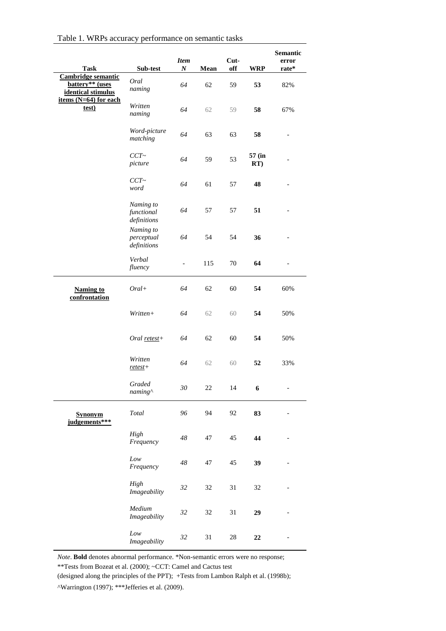| <b>Task</b>                                                                                            | Sub-test                               | <b>Item</b><br>$\boldsymbol{N}$ | Mean | Cut-<br>off | <b>WRP</b>       | Semantic<br>error<br>rate* |
|--------------------------------------------------------------------------------------------------------|----------------------------------------|---------------------------------|------|-------------|------------------|----------------------------|
| <b>Cambridge semantic</b><br>battery** (uses<br>identical stimulus<br>items $(N=64)$ for each<br>test) | Oral<br>naming                         | 64                              | 62   | 59          | 53               | 82%                        |
|                                                                                                        | Written<br>naming                      | 64                              | 62   | 59          | 58               | 67%                        |
|                                                                                                        | Word-picture<br>matching               | 64                              | 63   | 63          | 58               |                            |
|                                                                                                        | CCT~<br>picture                        | 64                              | 59   | 53          | 57 (in<br>RT)    |                            |
|                                                                                                        | $CCT \sim$<br>word                     | 64                              | 61   | 57          | 48               |                            |
|                                                                                                        | Naming to<br>functional<br>definitions | 64                              | 57   | 57          | 51               |                            |
|                                                                                                        | Naming to<br>perceptual<br>definitions | 64                              | 54   | 54          | 36               |                            |
|                                                                                                        | Verbal<br>fluency                      | $\frac{1}{2}$                   | 115  | 70          | 64               |                            |
| <b>Naming to</b><br>confrontation                                                                      | $Oral+$                                | 64                              | 62   | 60          | 54               | 60%                        |
|                                                                                                        | Written+                               | 64                              | 62   | 60          | 54               | 50%                        |
|                                                                                                        | Oral $retest+$                         | 64                              | 62   | 60          | 54               | 50%                        |
|                                                                                                        | Written<br>$retest +$                  | 64                              | 62   | 60          | 52               | 33%                        |
|                                                                                                        | Graded<br>naming^                      | $30\,$                          | 22   | 14          | $\boldsymbol{6}$ | $\overline{\phantom{0}}$   |
| <b>Synonym</b><br>judgements***                                                                        | Total                                  | 96                              | 94   | 92          | 83               | $\overline{\phantom{0}}$   |
|                                                                                                        | High<br>Frequency                      | 48                              | 47   | 45          | 44               |                            |
|                                                                                                        | Low<br>Frequency                       | 48                              | 47   | 45          | 39               |                            |
|                                                                                                        | High<br>Imageability                   | 32                              | 32   | 31          | 32               |                            |
|                                                                                                        | Medium<br>Imageability                 | 32                              | 32   | 31          | 29               |                            |
|                                                                                                        | Low<br>Imageability                    | 32                              | 31   | $28\,$      | $22\,$           |                            |

*Note*. **Bold** denotes abnormal performance. \*Non-semantic errors were no response;

\*\*Tests from Bozeat et al. (2000); ~CCT: Camel and Cactus test

(designed along the principles of the PPT); +Tests from Lambon Ralph et al. (1998b);

^Warrington (1997); \*\*\*Jefferies et al. (2009).